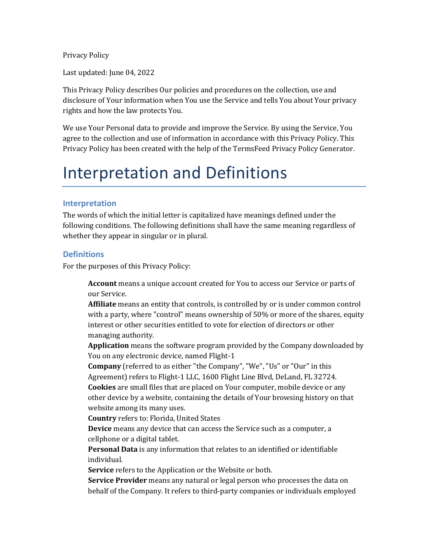Privacy Policy

Last updated: June 04, 2022

This Privacy Policy describes Our policies and procedures on the collection, use and disclosure of Your information when You use the Service and tells You about Your privacy rights and how the law protects You.

We use Your Personal data to provide and improve the Service. By using the Service, You agree to the collection and use of information in accordance with this Privacy Policy. This Privacy Policy has been created with the help of th[e TermsFeed Privacy Policy Generator.](https://www.termsfeed.com/privacy-policy-generator/)

## Interpretation and Definitions

## **Interpretation**

The words of which the initial letter is capitalized have meanings defined under the following conditions. The following definitions shall have the same meaning regardless of whether they appear in singular or in plural.

### **Definitions**

For the purposes of this Privacy Policy:

**Account** means a unique account created for You to access our Service or parts of our Service.

**Affiliate** means an entity that controls, is controlled by or is under common control with a party, where "control" means ownership of 50% or more of the shares, equity interest or other securities entitled to vote for election of directors or other managing authority.

**Application** means the software program provided by the Company downloaded by You on any electronic device, named Flight-1

**Company** (referred to as either "the Company", "We", "Us" or "Our" in this Agreement) refers to Flight-1 LLC, 1600 Flight Line Blvd, DeLand, FL 32724. **Cookies** are small files that are placed on Your computer, mobile device or any other device by a website, containing the details of Your browsing history on that website among its many uses.

**Country** refers to: Florida, United States

**Device** means any device that can access the Service such as a computer, a cellphone or a digital tablet.

**Personal Data** is any information that relates to an identified or identifiable individual.

**Service** refers to the Application or the Website or both.

**Service Provider** means any natural or legal person who processes the data on behalf of the Company. It refers to third-party companies or individuals employed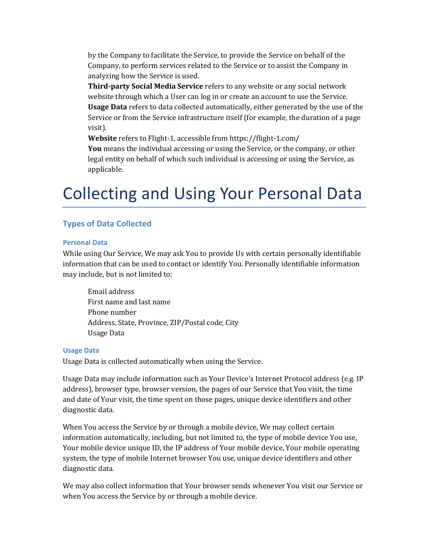by the Company to facilitate the Service, to provide the Service on behalf of the Company, to perform services related to the Service or to assist the Company in analyzing how the Service is used.

**Third-party Social Media Service** refers to any website or any social network website through which a User can log in or create an account to use the Service. **Usage Data** refers to data collected automatically, either generated by the use of the Service or from the Service infrastructure itself (for example, the duration of a page visit).

**Website** refers to Flight-1, accessible fro[m https://flight-1.com/](https://flight-1.com/)

**You** means the individual accessing or using the Service, or the company, or other legal entity on behalf of which such individual is accessing or using the Service, as applicable.

## Collecting and Using Your Personal Data

## **Types of Data Collected**

#### **Personal Data**

While using Our Service, We may ask You to provide Us with certain personally identifiable information that can be used to contact or identify You. Personally identifiable information may include, but is not limited to:

Email address First name and last name Phone number Address, State, Province, ZIP/Postal code, City Usage Data

#### **Usage Data**

Usage Data is collected automatically when using the Service.

Usage Data may include information such as Your Device's Internet Protocol address (e.g. IP address), browser type, browser version, the pages of our Service that You visit, the time and date of Your visit, the time spent on those pages, unique device identifiers and other diagnostic data.

When You access the Service by or through a mobile device, We may collect certain information automatically, including, but not limited to, the type of mobile device You use, Your mobile device unique ID, the IP address of Your mobile device, Your mobile operating system, the type of mobile Internet browser You use, unique device identifiers and other diagnostic data.

We may also collect information that Your browser sends whenever You visit our Service or when You access the Service by or through a mobile device.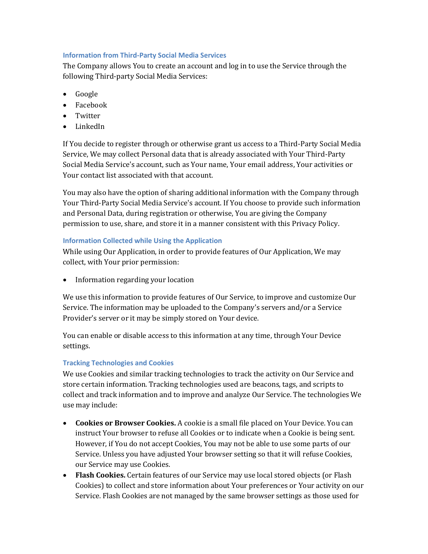#### **Information from Third-Party Social Media Services**

The Company allows You to create an account and log in to use the Service through the following Third-party Social Media Services:

- Google
- Facebook
- Twitter
- LinkedIn

If You decide to register through or otherwise grant us access to a Third-Party Social Media Service, We may collect Personal data that is already associated with Your Third-Party Social Media Service's account, such as Your name, Your email address, Your activities or Your contact list associated with that account.

You may also have the option of sharing additional information with the Company through Your Third-Party Social Media Service's account. If You choose to provide such information and Personal Data, during registration or otherwise, You are giving the Company permission to use, share, and store it in a manner consistent with this Privacy Policy.

#### **Information Collected while Using the Application**

While using Our Application, in order to provide features of Our Application, We may collect, with Your prior permission:

• Information regarding your location

We use this information to provide features of Our Service, to improve and customize Our Service. The information may be uploaded to the Company's servers and/or a Service Provider's server or it may be simply stored on Your device.

You can enable or disable access to this information at any time, through Your Device settings.

### **Tracking Technologies and Cookies**

We use Cookies and similar tracking technologies to track the activity on Our Service and store certain information. Tracking technologies used are beacons, tags, and scripts to collect and track information and to improve and analyze Our Service. The technologies We use may include:

- **Cookies or Browser Cookies.** A cookie is a small file placed on Your Device. You can instruct Your browser to refuse all Cookies or to indicate when a Cookie is being sent. However, if You do not accept Cookies, You may not be able to use some parts of our Service. Unless you have adjusted Your browser setting so that it will refuse Cookies, our Service may use Cookies.
- **Flash Cookies.** Certain features of our Service may use local stored objects (or Flash Cookies) to collect and store information about Your preferences or Your activity on our Service. Flash Cookies are not managed by the same browser settings as those used for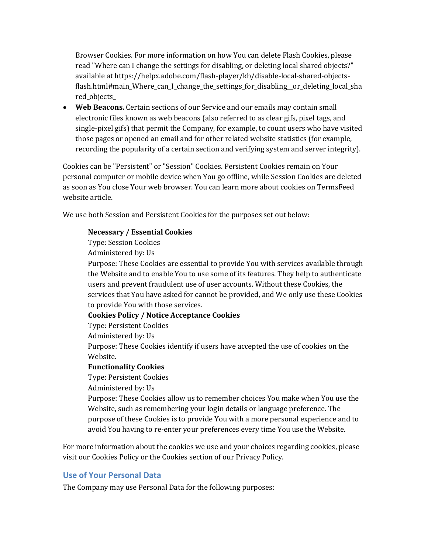Browser Cookies. For more information on how You can delete Flash Cookies, please read "Where can I change the settings for disabling, or deleting local shared objects?" available at [https://helpx.adobe.com/flash-player/kb/disable-local-shared-objects](https://helpx.adobe.com/flash-player/kb/disable-local-shared-objects-flash.html#main_Where_can_I_change_the_settings_for_disabling__or_deleting_local_shared_objects_)[flash.html#main\\_Where\\_can\\_I\\_change\\_the\\_settings\\_for\\_disabling\\_\\_or\\_deleting\\_local\\_sha](https://helpx.adobe.com/flash-player/kb/disable-local-shared-objects-flash.html#main_Where_can_I_change_the_settings_for_disabling__or_deleting_local_shared_objects_) [red\\_objects\\_](https://helpx.adobe.com/flash-player/kb/disable-local-shared-objects-flash.html#main_Where_can_I_change_the_settings_for_disabling__or_deleting_local_shared_objects_)

• **Web Beacons.** Certain sections of our Service and our emails may contain small electronic files known as web beacons (also referred to as clear gifs, pixel tags, and single-pixel gifs) that permit the Company, for example, to count users who have visited those pages or opened an email and for other related website statistics (for example, recording the popularity of a certain section and verifying system and server integrity).

Cookies can be "Persistent" or "Session" Cookies. Persistent Cookies remain on Your personal computer or mobile device when You go offline, while Session Cookies are deleted as soon as You close Your web browser. You can learn more about cookies on [TermsFeed](https://www.termsfeed.com/blog/cookies/#What_Are_Cookies)  [website](https://www.termsfeed.com/blog/cookies/#What_Are_Cookies) article.

We use both Session and Persistent Cookies for the purposes set out below:

#### **Necessary / Essential Cookies**

Type: Session Cookies

Administered by: Us

Purpose: These Cookies are essential to provide You with services available through the Website and to enable You to use some of its features. They help to authenticate users and prevent fraudulent use of user accounts. Without these Cookies, the services that You have asked for cannot be provided, and We only use these Cookies to provide You with those services.

### **Cookies Policy / Notice Acceptance Cookies**

Type: Persistent Cookies

Administered by: Us

Purpose: These Cookies identify if users have accepted the use of cookies on the Website.

#### **Functionality Cookies**

Type: Persistent Cookies

Administered by: Us

Purpose: These Cookies allow us to remember choices You make when You use the Website, such as remembering your login details or language preference. The purpose of these Cookies is to provide You with a more personal experience and to avoid You having to re-enter your preferences every time You use the Website.

For more information about the cookies we use and your choices regarding cookies, please visit our Cookies Policy or the Cookies section of our Privacy Policy.

### **Use of Your Personal Data**

The Company may use Personal Data for the following purposes: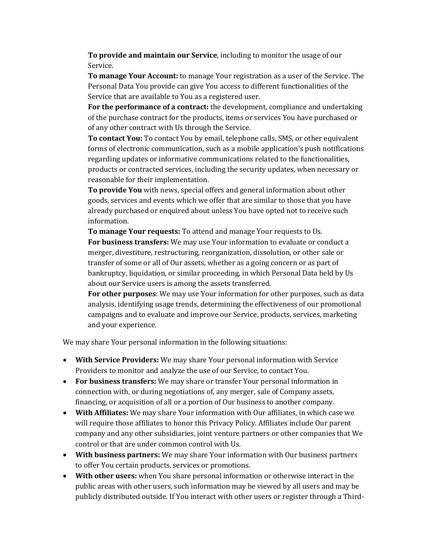**To provide and maintain our Service**, including to monitor the usage of our Service.

**To manage Your Account:** to manage Your registration as a user of the Service. The Personal Data You provide can give You access to different functionalities of the Service that are available to You as a registered user.

**For the performance of a contract:** the development, compliance and undertaking of the purchase contract for the products, items or services You have purchased or of any other contract with Us through the Service.

**To contact You:** To contact You by email, telephone calls, SMS, or other equivalent forms of electronic communication, such as a mobile application's push notifications regarding updates or informative communications related to the functionalities, products or contracted services, including the security updates, when necessary or reasonable for their implementation.

**To provide You** with news, special offers and general information about other goods, services and events which we offer that are similar to those that you have already purchased or enquired about unless You have opted not to receive such information.

**To manage Your requests:** To attend and manage Your requests to Us. **For business transfers:** We may use Your information to evaluate or conduct a merger, divestiture, restructuring, reorganization, dissolution, or other sale or transfer of some or all of Our assets, whether as a going concern or as part of bankruptcy, liquidation, or similar proceeding, in which Personal Data held by Us about our Service users is among the assets transferred.

**For other purposes**: We may use Your information for other purposes, such as data analysis, identifying usage trends, determining the effectiveness of our promotional campaigns and to evaluate and improve our Service, products, services, marketing and your experience.

We may share Your personal information in the following situations:

- **With Service Providers:** We may share Your personal information with Service Providers to monitor and analyze the use of our Service, to contact You.
- **For business transfers:** We may share or transfer Your personal information in connection with, or during negotiations of, any merger, sale of Company assets, financing, or acquisition of all or a portion of Our business to another company.
- **With Affiliates:** We may share Your information with Our affiliates, in which case we will require those affiliates to honor this Privacy Policy. Affiliates include Our parent company and any other subsidiaries, joint venture partners or other companies that We control or that are under common control with Us.
- **With business partners:** We may share Your information with Our business partners to offer You certain products, services or promotions.
- **With other users:** when You share personal information or otherwise interact in the public areas with other users, such information may be viewed by all users and may be publicly distributed outside. If You interact with other users or register through a Third-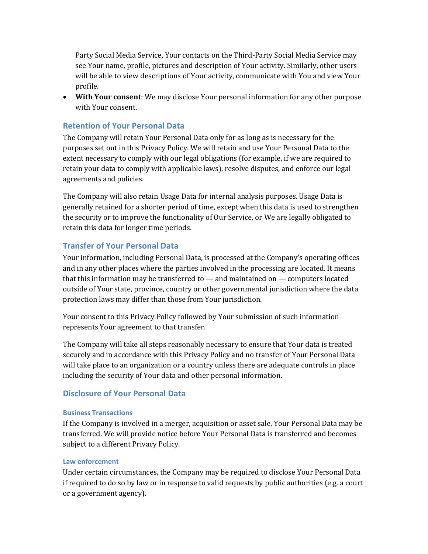Party Social Media Service, Your contacts on the Third-Party Social Media Service may see Your name, profile, pictures and description of Your activity. Similarly, other users will be able to view descriptions of Your activity, communicate with You and view Your profile.

• **With Your consent**: We may disclose Your personal information for any other purpose with Your consent.

## **Retention of Your Personal Data**

The Company will retain Your Personal Data only for as long as is necessary for the purposes set out in this Privacy Policy. We will retain and use Your Personal Data to the extent necessary to comply with our legal obligations (for example, if we are required to retain your data to comply with applicable laws), resolve disputes, and enforce our legal agreements and policies.

The Company will also retain Usage Data for internal analysis purposes. Usage Data is generally retained for a shorter period of time, except when this data is used to strengthen the security or to improve the functionality of Our Service, or We are legally obligated to retain this data for longer time periods.

## **Transfer of Your Personal Data**

Your information, including Personal Data, is processed at the Company's operating offices and in any other places where the parties involved in the processing are located. It means that this information may be transferred to — and maintained on — computers located outside of Your state, province, country or other governmental jurisdiction where the data protection laws may differ than those from Your jurisdiction.

Your consent to this Privacy Policy followed by Your submission of such information represents Your agreement to that transfer.

The Company will take all steps reasonably necessary to ensure that Your data is treated securely and in accordance with this Privacy Policy and no transfer of Your Personal Data will take place to an organization or a country unless there are adequate controls in place including the security of Your data and other personal information.

### **Disclosure of Your Personal Data**

#### **Business Transactions**

If the Company is involved in a merger, acquisition or asset sale, Your Personal Data may be transferred. We will provide notice before Your Personal Data is transferred and becomes subject to a different Privacy Policy.

#### **Law enforcement**

Under certain circumstances, the Company may be required to disclose Your Personal Data if required to do so by law or in response to valid requests by public authorities (e.g. a court or a government agency).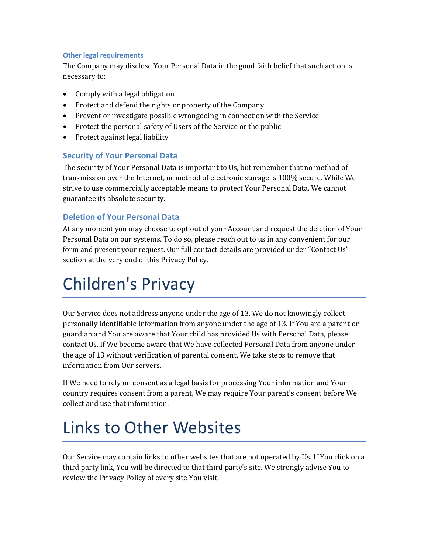#### **Other legal requirements**

The Company may disclose Your Personal Data in the good faith belief that such action is necessary to:

- Comply with a legal obligation
- Protect and defend the rights or property of the Company
- Prevent or investigate possible wrongdoing in connection with the Service
- Protect the personal safety of Users of the Service or the public
- Protect against legal liability

## **Security of Your Personal Data**

The security of Your Personal Data is important to Us, but remember that no method of transmission over the Internet, or method of electronic storage is 100% secure. While We strive to use commercially acceptable means to protect Your Personal Data, We cannot guarantee its absolute security.

## **Deletion of Your Personal Data**

At any moment you may choose to opt out of your Account and request the deletion of Your Personal Data on our systems. To do so, please reach out to us in any convenient for our form and present your request. Our full contact details are provided under "Contact Us" section at the very end of this Privacy Policy.

# Children's Privacy

Our Service does not address anyone under the age of 13. We do not knowingly collect personally identifiable information from anyone under the age of 13. If You are a parent or guardian and You are aware that Your child has provided Us with Personal Data, please contact Us. If We become aware that We have collected Personal Data from anyone under the age of 13 without verification of parental consent, We take steps to remove that information from Our servers.

If We need to rely on consent as a legal basis for processing Your information and Your country requires consent from a parent, We may require Your parent's consent before We collect and use that information.

# Links to Other Websites

Our Service may contain links to other websites that are not operated by Us. If You click on a third party link, You will be directed to that third party's site. We strongly advise You to review the Privacy Policy of every site You visit.